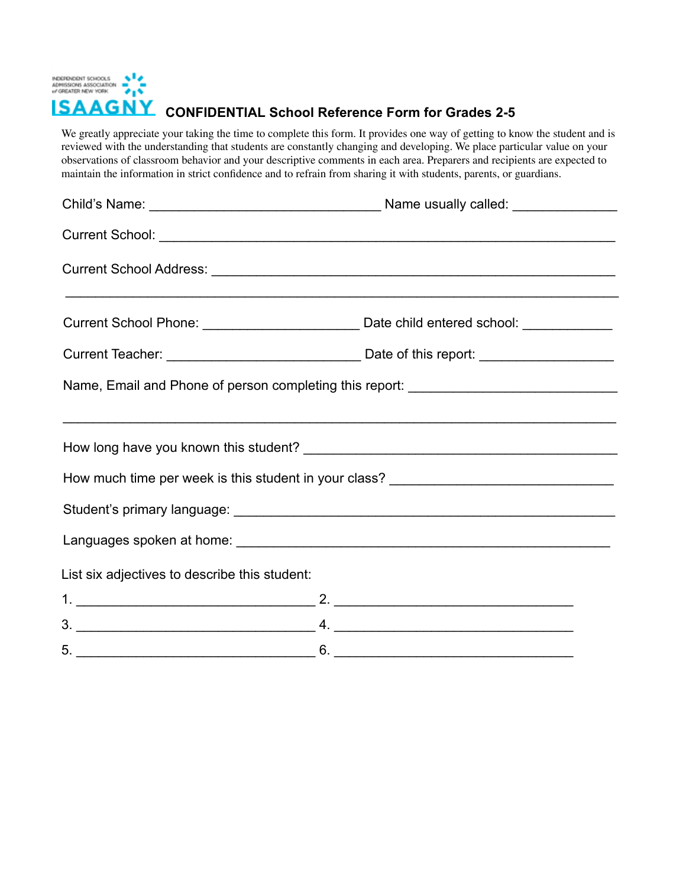

**CONFIDENTIAL School Reference Form for Grades 2-5**

We greatly appreciate your taking the time to complete this form. It provides one way of getting to know the student and is reviewed with the understanding that students are constantly changing and developing. We place particular value on your observations of classroom behavior and your descriptive comments in each area. Preparers and recipients are expected to maintain the information in strict confidence and to refrain from sharing it with students, parents, or guardians.

|                                               | <u> 1990 - Andrea Santa Alemania, amerikana amerikana amerikana amerikana amerikana amerikana amerikana amerikana</u>                                                                                      |
|-----------------------------------------------|------------------------------------------------------------------------------------------------------------------------------------------------------------------------------------------------------------|
|                                               |                                                                                                                                                                                                            |
|                                               |                                                                                                                                                                                                            |
|                                               | Name, Email and Phone of person completing this report: ________________________                                                                                                                           |
|                                               | <u> 1990 - John Harry Harry Harry Harry Harry Harry Harry Harry Harry Harry Harry Harry Harry Harry Harry Harry H</u><br>How much time per week is this student in your class? ___________________________ |
|                                               |                                                                                                                                                                                                            |
|                                               |                                                                                                                                                                                                            |
| List six adjectives to describe this student: |                                                                                                                                                                                                            |
|                                               |                                                                                                                                                                                                            |
|                                               |                                                                                                                                                                                                            |
|                                               | $6. \underline{\hspace{2cm}}$                                                                                                                                                                              |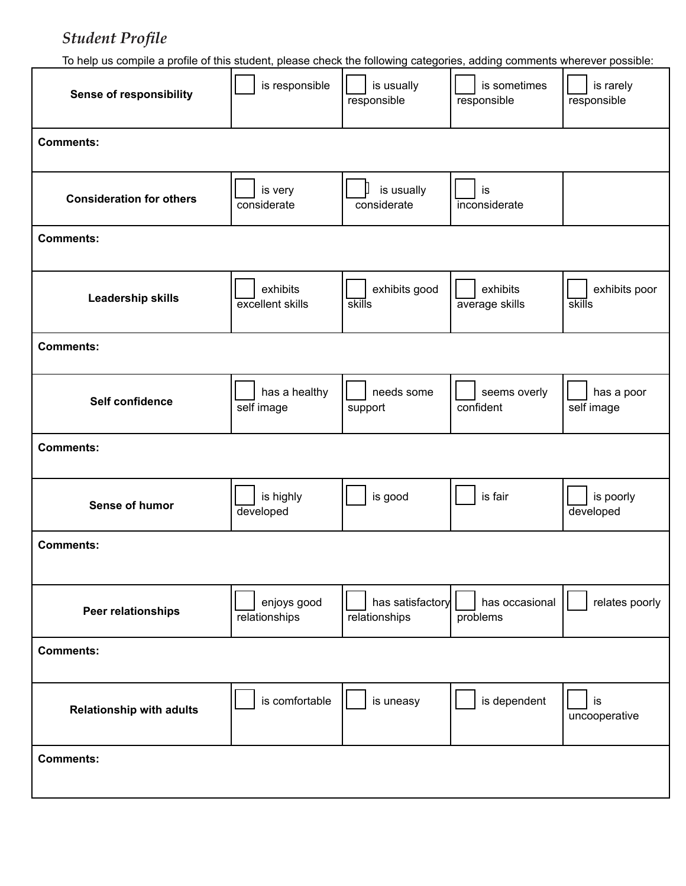# **Student Profile**

To help us compile a profile of this student, please check the following categories, adding comments wherever possible:

| <b>Sense of responsibility</b>  | is responsible               | is usually<br>responsible         | is sometimes<br>responsible | is rarely<br>responsible |
|---------------------------------|------------------------------|-----------------------------------|-----------------------------|--------------------------|
| <b>Comments:</b>                |                              |                                   |                             |                          |
| <b>Consideration for others</b> | is very<br>considerate       | is usually<br>considerate         | is<br>inconsiderate         |                          |
| <b>Comments:</b>                |                              |                                   |                             |                          |
| Leadership skills               | exhibits<br>excellent skills | exhibits good<br>skills           | exhibits<br>average skills  | exhibits poor<br>skills  |
| <b>Comments:</b>                |                              |                                   |                             |                          |
| Self confidence                 | has a healthy<br>self image  | needs some<br>support             | seems overly<br>confident   | has a poor<br>self image |
| <b>Comments:</b>                |                              |                                   |                             |                          |
| Sense of humor                  | is highly<br>developed       | is good                           | is fair                     | is poorly<br>developed   |
| <b>Comments:</b>                |                              |                                   |                             |                          |
| Peer relationships              | enjoys good<br>relationships | has satisfactory<br>relationships | has occasional<br>problems  | relates poorly           |
| <b>Comments:</b>                |                              |                                   |                             |                          |
| <b>Relationship with adults</b> | is comfortable               | is uneasy                         | is dependent                | is<br>uncooperative      |
| <b>Comments:</b>                |                              |                                   |                             |                          |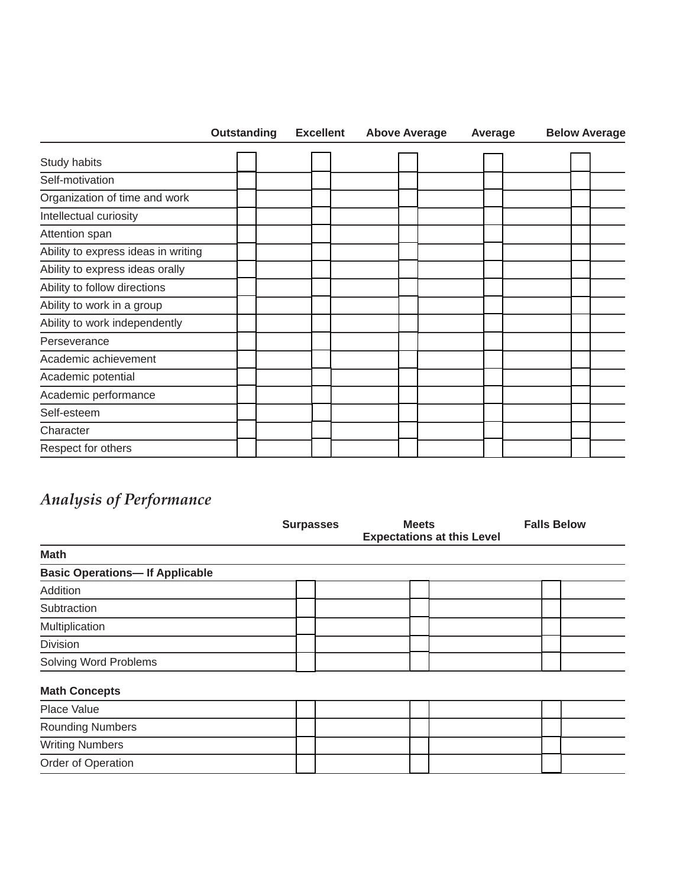|                                     | <b>Outstanding</b> |  | <b>Excellent</b> | <b>Above Average</b> |  | Average |  | <b>Below Average</b> |
|-------------------------------------|--------------------|--|------------------|----------------------|--|---------|--|----------------------|
| Study habits                        |                    |  |                  |                      |  |         |  |                      |
| Self-motivation                     |                    |  |                  |                      |  |         |  |                      |
| Organization of time and work       |                    |  |                  |                      |  |         |  |                      |
| Intellectual curiosity              |                    |  |                  |                      |  |         |  |                      |
| Attention span                      |                    |  |                  |                      |  |         |  |                      |
| Ability to express ideas in writing |                    |  |                  |                      |  |         |  |                      |
| Ability to express ideas orally     |                    |  |                  |                      |  |         |  |                      |
| Ability to follow directions        |                    |  |                  |                      |  |         |  |                      |
| Ability to work in a group          |                    |  |                  |                      |  |         |  |                      |
| Ability to work independently       |                    |  |                  |                      |  |         |  |                      |
| Perseverance                        |                    |  |                  |                      |  |         |  |                      |
| Academic achievement                |                    |  |                  |                      |  |         |  |                      |
| Academic potential                  |                    |  |                  |                      |  |         |  |                      |
| Academic performance                |                    |  |                  |                      |  |         |  |                      |
| Self-esteem                         |                    |  |                  |                      |  |         |  |                      |
| Character                           |                    |  |                  |                      |  |         |  |                      |
| Respect for others                  |                    |  |                  |                      |  |         |  |                      |

# *Analysis of Performance*

|                                       | <b>Surpasses</b> | <b>Meets</b> | <b>Expectations at this Level</b> | <b>Falls Below</b> |
|---------------------------------------|------------------|--------------|-----------------------------------|--------------------|
| <b>Math</b>                           |                  |              |                                   |                    |
| <b>Basic Operations-If Applicable</b> |                  |              |                                   |                    |
| Addition                              |                  |              |                                   |                    |
| Subtraction                           |                  |              |                                   |                    |
| Multiplication                        |                  |              |                                   |                    |
| <b>Division</b>                       |                  |              |                                   |                    |
| <b>Solving Word Problems</b>          |                  |              |                                   |                    |
| <b>Math Concepts</b>                  |                  |              |                                   |                    |
| Place Value                           |                  |              |                                   |                    |
| <b>Rounding Numbers</b>               |                  |              |                                   |                    |
| <b>Writing Numbers</b>                |                  |              |                                   |                    |
| Order of Operation                    |                  |              |                                   |                    |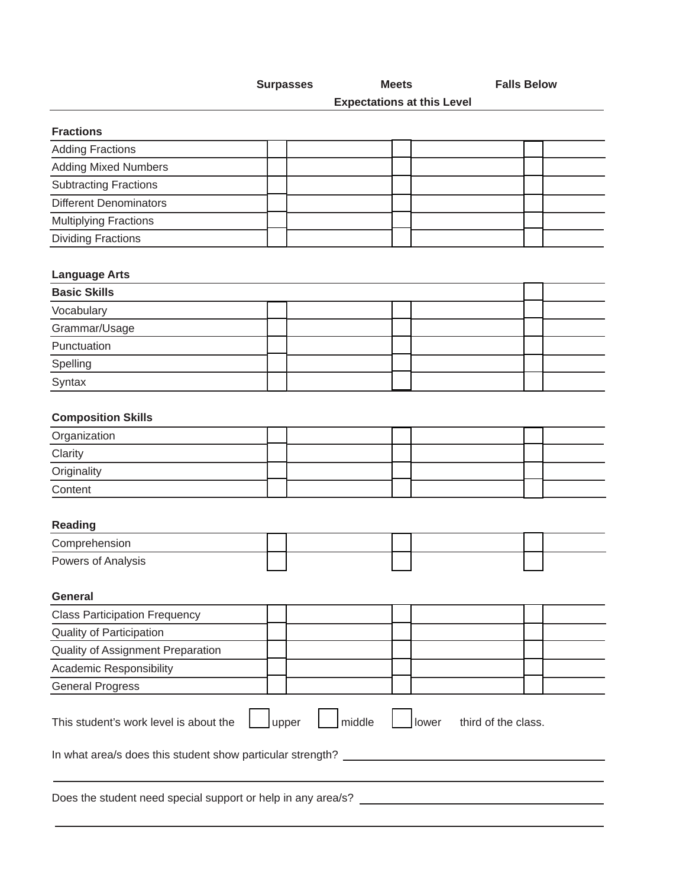**Surpasses Meets Falls Below** 

**Expectations at this Level** 

# **Fractions**

| <b>Adding Fractions</b>       |  |  |  |
|-------------------------------|--|--|--|
| <b>Adding Mixed Numbers</b>   |  |  |  |
| <b>Subtracting Fractions</b>  |  |  |  |
| <b>Different Denominators</b> |  |  |  |
| <b>Multiplying Fractions</b>  |  |  |  |
| <b>Dividing Fractions</b>     |  |  |  |

# **Language Arts**

| <b>Basic Skills</b> |  |  |  |  |  |  |
|---------------------|--|--|--|--|--|--|
| Vocabulary          |  |  |  |  |  |  |
| Grammar/Usage       |  |  |  |  |  |  |
| Punctuation         |  |  |  |  |  |  |
| Spelling            |  |  |  |  |  |  |
| Syntax              |  |  |  |  |  |  |

# **Composition Skills**

| Organization |  |  |  |
|--------------|--|--|--|
| Clarity      |  |  |  |
| Originality  |  |  |  |
| Content      |  |  |  |

# **Reading**

| Comprehension      |  |  |  |
|--------------------|--|--|--|
| Powers of Analysis |  |  |  |

#### **General**

| <b>Class Participation Frequency</b>                                                      |  |  |  |  |  |  |  |  |
|-------------------------------------------------------------------------------------------|--|--|--|--|--|--|--|--|
| <b>Quality of Participation</b>                                                           |  |  |  |  |  |  |  |  |
| Quality of Assignment Preparation                                                         |  |  |  |  |  |  |  |  |
| <b>Academic Responsibility</b>                                                            |  |  |  |  |  |  |  |  |
| <b>General Progress</b>                                                                   |  |  |  |  |  |  |  |  |
| middle<br>third of the class.<br>This student's work level is about the<br>lower<br>upper |  |  |  |  |  |  |  |  |
| In what area/s does this student show particular strength?                                |  |  |  |  |  |  |  |  |
| Does the student need special support or help in any area/s?                              |  |  |  |  |  |  |  |  |

Does the student need special support or help in any area/s?  $\_$